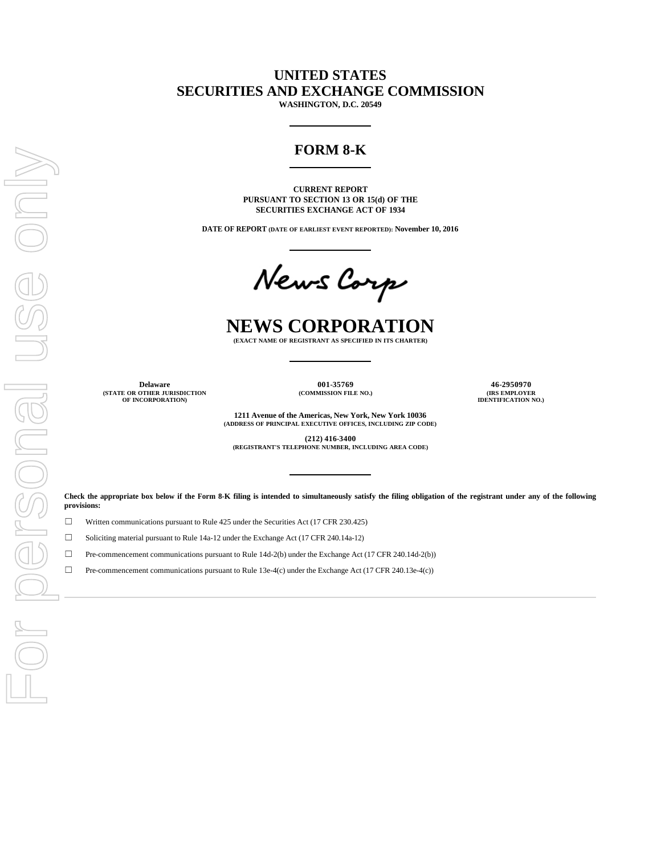# **UNITED STATES SECURITIES AND EXCHANGE COMMISSION**

**WASHINGTON, D.C. 20549**

# **FORM 8-K**

**CURRENT REPORT PURSUANT TO SECTION 13 OR 15(d) OF THE SECURITIES EXCHANGE ACT OF 1934**

**DATE OF REPORT (DATE OF EARLIEST EVENT REPORTED): November 10, 2016**

News Corp

# **NEWS CORPORATION**

**(EXACT NAME OF REGISTRANT AS SPECIFIED IN ITS CHARTER)**

**Delaware 001-35769 46-2950970 (STATE OR OTHER JURISDICTION OF INCORPORATION)**

**(COMMISSION FILE NO.) (IRS EMPLOYER IDENTIFICATION NO.)**

**1211 Avenue of the Americas, New York, New York 10036 (ADDRESS OF PRINCIPAL EXECUTIVE OFFICES, INCLUDING ZIP CODE)**

**(212) 416-3400 (REGISTRANT'S TELEPHONE NUMBER, INCLUDING AREA CODE)**

**Check the appropriate box below if the Form 8-K filing is intended to simultaneously satisfy the filing obligation of the registrant under any of the following provisions:**

☐ Written communications pursuant to Rule 425 under the Securities Act (17 CFR 230.425)

 $\Box$  Soliciting material pursuant to Rule 14a-12 under the Exchange Act (17 CFR 240.14a-12)

 $\Box$  Pre-commencement communications pursuant to Rule 14d-2(b) under the Exchange Act (17 CFR 240.14d-2(b))

 $\Box$  Pre-commencement communications pursuant to Rule 13e-4(c) under the Exchange Act (17 CFR 240.13e-4(c))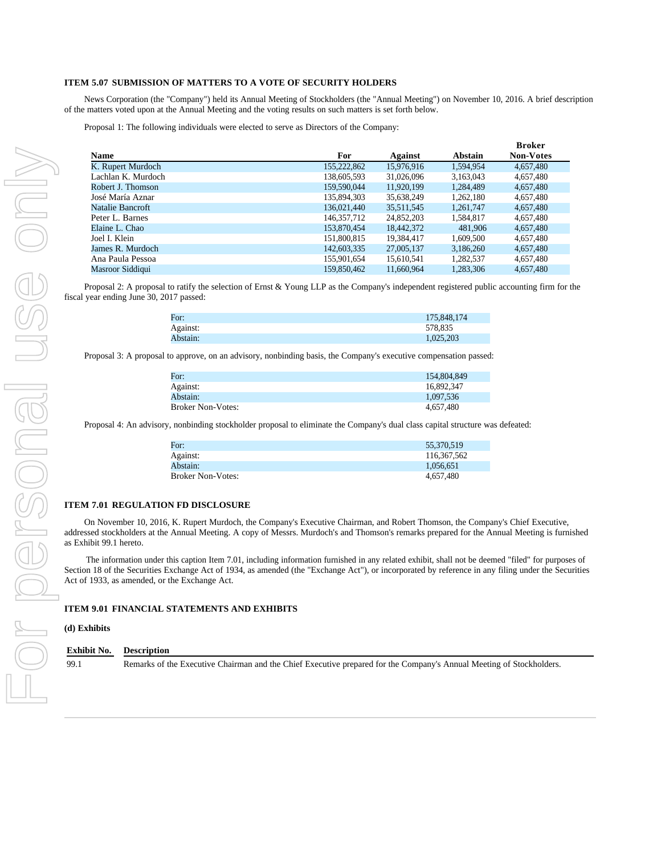#### **ITEM 5.07 SUBMISSION OF MATTERS TO A VOTE OF SECURITY HOLDERS**

News Corporation (the "Company") held its Annual Meeting of Stockholders (the "Annual Meeting") on November 10, 2016. A brief description of the matters voted upon at the Annual Meeting and the voting results on such matters is set forth below.

Proposal 1: The following individuals were elected to serve as Directors of the Company:

|                    |             |            |           | <b>Broker</b>    |
|--------------------|-------------|------------|-----------|------------------|
| Name               | For         | Against    | Abstain   | <b>Non-Votes</b> |
| K. Rupert Murdoch  | 155,222,862 | 15,976,916 | 1.594.954 | 4,657,480        |
| Lachlan K. Murdoch | 138,605,593 | 31,026,096 | 3,163,043 | 4,657,480        |
| Robert J. Thomson  | 159,590,044 | 11.920.199 | 1.284.489 | 4,657,480        |
| José María Aznar   | 135,894,303 | 35,638,249 | 1,262,180 | 4,657,480        |
| Natalie Bancroft   | 136,021,440 | 35,511,545 | 1,261,747 | 4,657,480        |
| Peter L. Barnes    | 146.357.712 | 24,852,203 | 1.584.817 | 4,657,480        |
| Elaine L. Chao     | 153,870,454 | 18,442,372 | 481,906   | 4,657,480        |
| Joel I. Klein      | 151,800,815 | 19,384,417 | 1.609.500 | 4,657,480        |
| James R. Murdoch   | 142,603,335 | 27,005,137 | 3,186,260 | 4,657,480        |
| Ana Paula Pessoa   | 155,901,654 | 15,610,541 | 1,282,537 | 4,657,480        |
| Masroor Siddiqui   | 159,850,462 | 11.660.964 | 1.283.306 | 4.657.480        |

Proposal 2: A proposal to ratify the selection of Ernst & Young LLP as the Company's independent registered public accounting firm for the fiscal year ending June 30, 2017 passed:

| For:     | 175,848,174 |
|----------|-------------|
| Against: | 578.835     |
| Abstain: | 1,025,203   |

Proposal 3: A proposal to approve, on an advisory, nonbinding basis, the Company's executive compensation passed:

| For:                     | 154,804,849 |
|--------------------------|-------------|
| Against:                 | 16.892.347  |
| Abstain:                 | 1.097.536   |
| <b>Broker Non-Votes:</b> | 4.657.480   |

Proposal 4: An advisory, nonbinding stockholder proposal to eliminate the Company's dual class capital structure was defeated:

| For:                     | 55.370.519  |
|--------------------------|-------------|
| Against:                 | 116,367,562 |
| Abstain:                 | 1.056.651   |
| <b>Broker Non-Votes:</b> | 4.657.480   |

#### **ITEM 7.01 REGULATION FD DISCLOSURE**

On November 10, 2016, K. Rupert Murdoch, the Company's Executive Chairman, and Robert Thomson, the Company's Chief Executive, addressed stockholders at the Annual Meeting. A copy of Messrs. Murdoch's and Thomson's remarks prepared for the Annual Meeting is furnished as Exhibit 99.1 hereto.

The information under this caption Item 7.01, including information furnished in any related exhibit, shall not be deemed "filed" for purposes of Section 18 of the Securities Exchange Act of 1934, as amended (the "Exchange Act"), or incorporated by reference in any filing under the Securities Act of 1933, as amended, or the Exchange Act.

#### **ITEM 9.01 FINANCIAL STATEMENTS AND EXHIBITS**

#### **(d) Exhibits**

**Exhibit No. Description** 99.1 Remarks of the Executive Chairman and the Chief Executive prepared for the Company's Annual Meeting of Stockholders.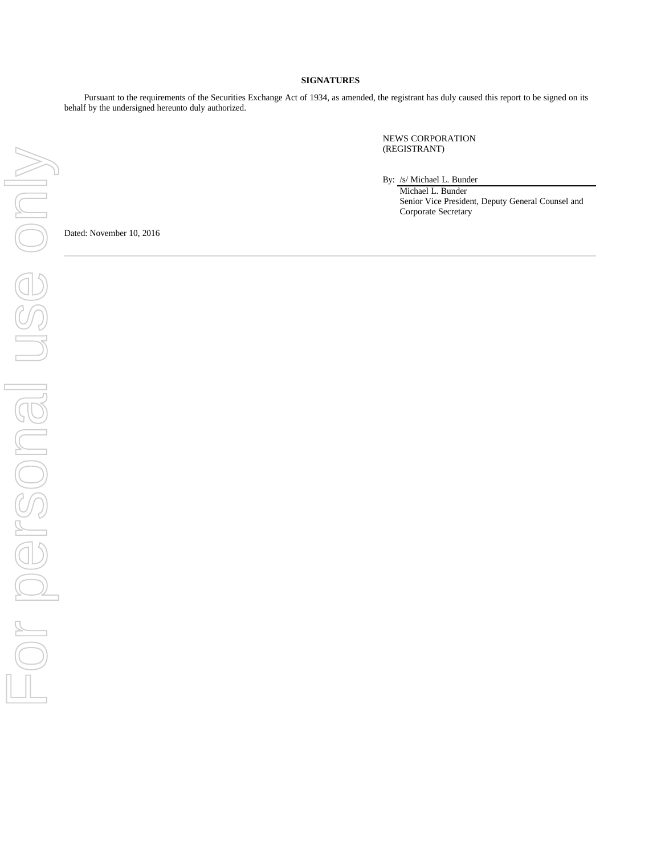### **SIGNATURES**

Pursuant to the requirements of the Securities Exchange Act of 1934, as amended, the registrant has duly caused this report to be signed on its behalf by the undersigned hereunto duly authorized.

> NEWS CORPORATION (REGISTRANT)

By: /s/ Michael L. Bunder

Michael L. Bunder Senior Vice President, Deputy General Counsel and Corporate Secretary

Dated: November 10, 2016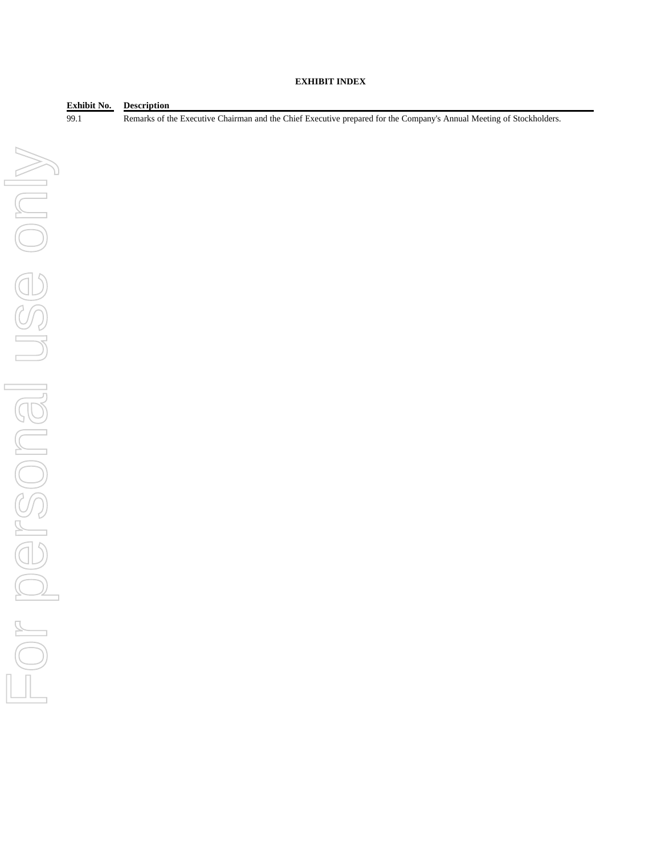## **EXHIBIT INDEX**

**Exhibit No. Description**

99.1 Remarks of the Executive Chairman and the Chief Executive prepared for the Company's Annual Meeting of Stockholders.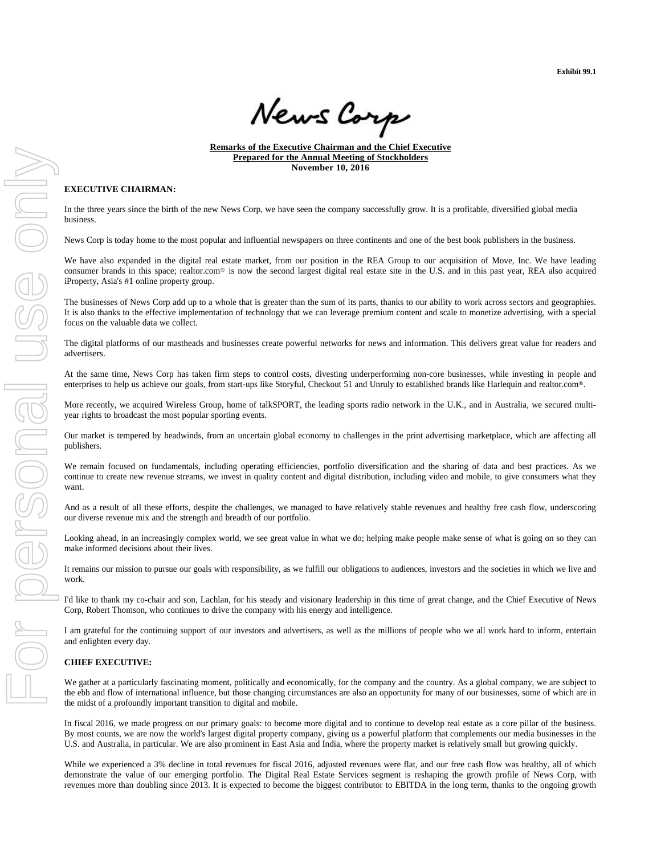**Exhibit 99.1**

News Carp

**Remarks of the Executive Chairman and the Chief Executive Prepared for the Annual Meeting of Stockholders November 10, 2016**

## **EXECUTIVE CHAIRMAN:**

In the three years since the birth of the new News Corp, we have seen the company successfully grow. It is a profitable, diversified global media business.

News Corp is today home to the most popular and influential newspapers on three continents and one of the best book publishers in the business.

We have also expanded in the digital real estate market, from our position in the REA Group to our acquisition of Move, Inc. We have leading consumer brands in this space; realtor.com® is now the second largest digital real estate site in the U.S. and in this past year, REA also acquired iProperty, Asia's #1 online property group.

The businesses of News Corp add up to a whole that is greater than the sum of its parts, thanks to our ability to work across sectors and geographies. It is also thanks to the effective implementation of technology that we can leverage premium content and scale to monetize advertising, with a special focus on the valuable data we collect.

The digital platforms of our mastheads and businesses create powerful networks for news and information. This delivers great value for readers and advertisers.

At the same time, News Corp has taken firm steps to control costs, divesting underperforming non-core businesses, while investing in people and enterprises to help us achieve our goals, from start-ups like Storyful, Checkout 51 and Unruly to established brands like Harlequin and realtor.com®.

More recently, we acquired Wireless Group, home of talkSPORT, the leading sports radio network in the U.K., and in Australia, we secured multiyear rights to broadcast the most popular sporting events.

Our market is tempered by headwinds, from an uncertain global economy to challenges in the print advertising marketplace, which are affecting all publishers.

We remain focused on fundamentals, including operating efficiencies, portfolio diversification and the sharing of data and best practices. As we continue to create new revenue streams, we invest in quality content and digital distribution, including video and mobile, to give consumers what they want.

And as a result of all these efforts, despite the challenges, we managed to have relatively stable revenues and healthy free cash flow, underscoring our diverse revenue mix and the strength and breadth of our portfolio.

Looking ahead, in an increasingly complex world, we see great value in what we do; helping make people make sense of what is going on so they can make informed decisions about their lives.

It remains our mission to pursue our goals with responsibility, as we fulfill our obligations to audiences, investors and the societies in which we live and work.

I'd like to thank my co-chair and son, Lachlan, for his steady and visionary leadership in this time of great change, and the Chief Executive of News Corp, Robert Thomson, who continues to drive the company with his energy and intelligence.

I am grateful for the continuing support of our investors and advertisers, as well as the millions of people who we all work hard to inform, entertain and enlighten every day.

#### **CHIEF EXECUTIVE:**

We gather at a particularly fascinating moment, politically and economically, for the company and the country. As a global company, we are subject to the ebb and flow of international influence, but those changing circumstances are also an opportunity for many of our businesses, some of which are in the midst of a profoundly important transition to digital and mobile.

In fiscal 2016, we made progress on our primary goals: to become more digital and to continue to develop real estate as a core pillar of the business. By most counts, we are now the world's largest digital property company, giving us a powerful platform that complements our media businesses in the U.S. and Australia, in particular. We are also prominent in East Asia and India, where the property market is relatively small but growing quickly.

While we experienced a 3% decline in total revenues for fiscal 2016, adjusted revenues were flat, and our free cash flow was healthy, all of which demonstrate the value of our emerging portfolio. The Digital Real Estate Services segment is reshaping the growth profile of News Corp, with revenues more than doubling since 2013. It is expected to become the biggest contributor to EBITDA in the long term, thanks to the ongoing growth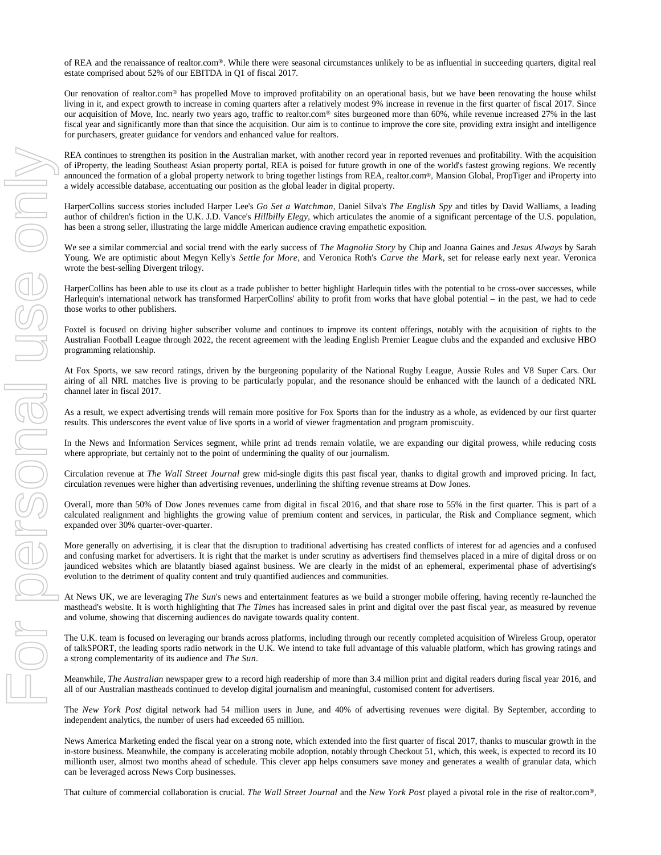of REA and the renaissance of realtor.com®. While there were seasonal circumstances unlikely to be as influential in succeeding quarters, digital real estate comprised about 52% of our EBITDA in Q1 of fiscal 2017.

Our renovation of realtor.com® has propelled Move to improved profitability on an operational basis, but we have been renovating the house whilst living in it, and expect growth to increase in coming quarters after a relatively modest 9% increase in revenue in the first quarter of fiscal 2017. Since our acquisition of Move, Inc. nearly two years ago, traffic to realtor.com® sites burgeoned more than 60%, while revenue increased 27% in the last fiscal year and significantly more than that since the acquisition. Our aim is to continue to improve the core site, providing extra insight and intelligence for purchasers, greater guidance for vendors and enhanced value for realtors.

REA continues to strengthen its position in the Australian market, with another record year in reported revenues and profitability. With the acquisition of iProperty, the leading Southeast Asian property portal, REA is poised for future growth in one of the world's fastest growing regions. We recently announced the formation of a global property network to bring together listings from REA, realtor.com®, Mansion Global, PropTiger and iProperty into a widely accessible database, accentuating our position as the global leader in digital property.

HarperCollins success stories included Harper Lee's *Go Set a Watchman*, Daniel Silva's *The English Spy* and titles by David Walliams, a leading author of children's fiction in the U.K. J.D. Vance's *Hillbilly Elegy*, which articulates the anomie of a significant percentage of the U.S. population, has been a strong seller, illustrating the large middle American audience craving empathetic exposition.

We see a similar commercial and social trend with the early success of *The Magnolia Story* by Chip and Joanna Gaines and *Jesus Always* by Sarah Young. We are optimistic about Megyn Kelly's *Settle for More*, and Veronica Roth's *Carve the Mark*, set for release early next year. Veronica wrote the best-selling Divergent trilogy.

HarperCollins has been able to use its clout as a trade publisher to better highlight Harlequin titles with the potential to be cross-over successes, while Harlequin's international network has transformed HarperCollins' ability to profit from works that have global potential – in the past, we had to cede those works to other publishers.

Foxtel is focused on driving higher subscriber volume and continues to improve its content offerings, notably with the acquisition of rights to the Australian Football League through 2022, the recent agreement with the leading English Premier League clubs and the expanded and exclusive HBO programming relationship.

At Fox Sports, we saw record ratings, driven by the burgeoning popularity of the National Rugby League, Aussie Rules and V8 Super Cars. Our airing of all NRL matches live is proving to be particularly popular, and the resonance should be enhanced with the launch of a dedicated NRL channel later in fiscal 2017.

As a result, we expect advertising trends will remain more positive for Fox Sports than for the industry as a whole, as evidenced by our first quarter results. This underscores the event value of live sports in a world of viewer fragmentation and program promiscuity.

In the News and Information Services segment, while print ad trends remain volatile, we are expanding our digital prowess, while reducing costs where appropriate, but certainly not to the point of undermining the quality of our journalism.

Circulation revenue at *The Wall Street Journal* grew mid-single digits this past fiscal year, thanks to digital growth and improved pricing. In fact, circulation revenues were higher than advertising revenues, underlining the shifting revenue streams at Dow Jones.

Overall, more than 50% of Dow Jones revenues came from digital in fiscal 2016, and that share rose to 55% in the first quarter. This is part of a calculated realignment and highlights the growing value of premium content and services, in particular, the Risk and Compliance segment, which expanded over 30% quarter-over-quarter.

More generally on advertising, it is clear that the disruption to traditional advertising has created conflicts of interest for ad agencies and a confused and confusing market for advertisers. It is right that the market is under scrutiny as advertisers find themselves placed in a mire of digital dross or on jaundiced websites which are blatantly biased against business. We are clearly in the midst of an ephemeral, experimental phase of advertising's evolution to the detriment of quality content and truly quantified audiences and communities.

At News UK, we are leveraging *The Sun*'s news and entertainment features as we build a stronger mobile offering, having recently re-launched the masthead's website. It is worth highlighting that *The Times* has increased sales in print and digital over the past fiscal year, as measured by revenue and volume, showing that discerning audiences do navigate towards quality content.

The U.K. team is focused on leveraging our brands across platforms, including through our recently completed acquisition of Wireless Group, operator of talkSPORT, the leading sports radio network in the U.K. We intend to take full advantage of this valuable platform, which has growing ratings and a strong complementarity of its audience and *The Sun*.

Meanwhile, *The Australian* newspaper grew to a record high readership of more than 3.4 million print and digital readers during fiscal year 2016, and all of our Australian mastheads continued to develop digital journalism and meaningful, customised content for advertisers.

The *New York Post* digital network had 54 million users in June, and 40% of advertising revenues were digital. By September, according to independent analytics, the number of users had exceeded 65 million.

News America Marketing ended the fiscal year on a strong note, which extended into the first quarter of fiscal 2017, thanks to muscular growth in the in-store business. Meanwhile, the company is accelerating mobile adoption, notably through Checkout 51, which, this week, is expected to record its 10 millionth user, almost two months ahead of schedule. This clever app helps consumers save money and generates a wealth of granular data, which can be leveraged across News Corp businesses.